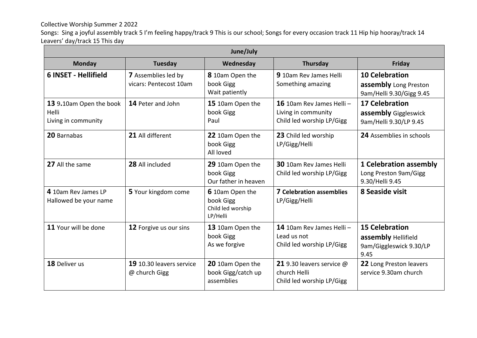Collective Worship Summer 2 2022

Songs: Sing a joyful assembly track 5 I'm feeling happy/track 9 This is our school; Songs for every occasion track 11 Hip hip hooray/track 14 Leavers' day/track 15 This day

| June/July                                               |                                               |                                                               |                                                                                 |                                                                                 |
|---------------------------------------------------------|-----------------------------------------------|---------------------------------------------------------------|---------------------------------------------------------------------------------|---------------------------------------------------------------------------------|
| <b>Monday</b>                                           | <b>Tuesday</b>                                | Wednesday                                                     | Thursday                                                                        | Friday                                                                          |
| <b>6 INSET - Hellifield</b>                             | 7 Assemblies led by<br>vicars: Pentecost 10am | 8 10am Open the<br>book Gigg<br>Wait patiently                | 910am Rev James Helli<br>Something amazing                                      | <b>10 Celebration</b><br>assembly Long Preston<br>9am/Helli 9.30/Gigg 9.45      |
| 13 9.10am Open the book<br>Helli<br>Living in community | 14 Peter and John                             | 15 10am Open the<br>book Gigg<br>Paul                         | 16 10am Rev James Helli $-$<br>Living in community<br>Child led worship LP/Gigg | <b>17 Celebration</b><br>assembly Giggleswick<br>9am/Helli 9.30/LP 9.45         |
| 20 Barnabas                                             | 21 All different                              | 22 10am Open the<br>book Gigg<br>All loved                    | 23 Child led worship<br>LP/Gigg/Helli                                           | 24 Assemblies in schools                                                        |
| 27 All the same                                         | 28 All included                               | 29 10am Open the<br>book Gigg<br>Our father in heaven         | 30 10am Rev James Helli<br>Child led worship LP/Gigg                            | <b>1 Celebration assembly</b><br>Long Preston 9am/Gigg<br>9.30/Helli 9.45       |
| 4 10am Rev James LP<br>Hallowed be your name            | 5 Your kingdom come                           | 6 10am Open the<br>book Gigg<br>Child led worship<br>LP/Helli | <b>7 Celebration assemblies</b><br>LP/Gigg/Helli                                | 8 Seaside visit                                                                 |
| 11 Your will be done                                    | 12 Forgive us our sins                        | 13 10am Open the<br>book Gigg<br>As we forgive                | 14 10am Rev James Helli-<br>Lead us not<br>Child led worship LP/Gigg            | <b>15 Celebration</b><br>assembly Hellifield<br>9am/Giggleswick 9.30/LP<br>9.45 |
| 18 Deliver us                                           | 19 10.30 leavers service<br>@ church Gigg     | 20 10am Open the<br>book Gigg/catch up<br>assemblies          | 21 9.30 leavers service @<br>church Helli<br>Child led worship LP/Gigg          | 22 Long Preston leavers<br>service 9.30am church                                |